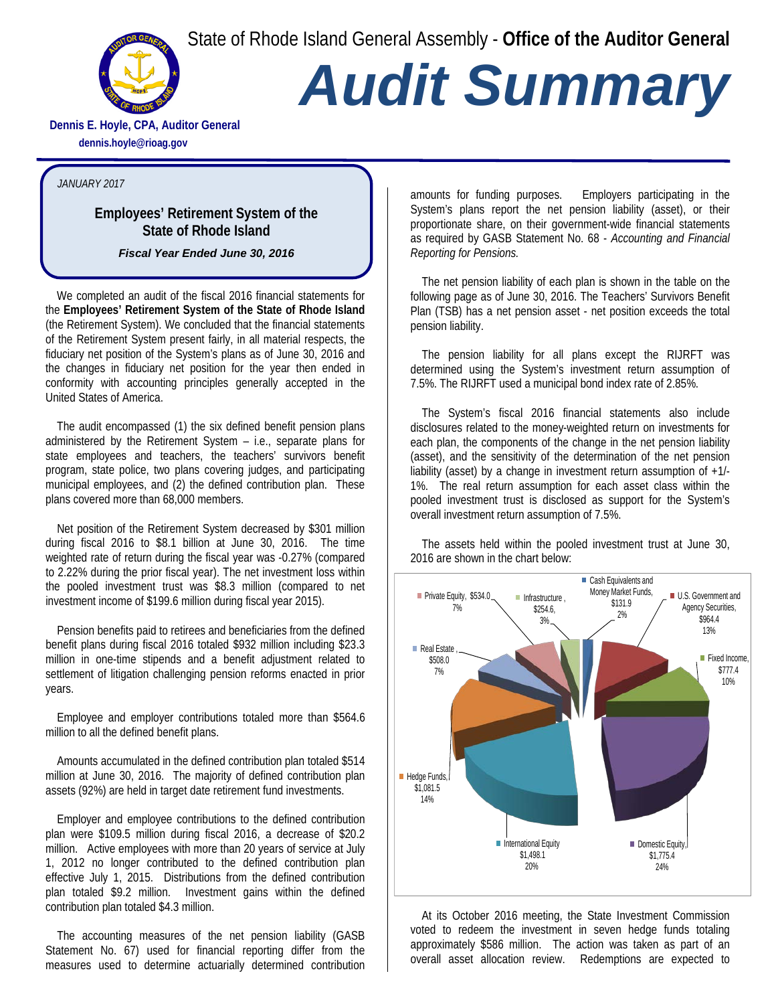State of Rhode Island General Assembly - **Office of the Auditor General**



## *Audit Summary*

**Dennis E. Hoyle, CPA, Auditor General dennis.hoyle@rioag.gov**

## *JANUARY 2017*

## **Employees' Retirement System of the State of Rhode Island**

*Fiscal Year Ended June 30, 2016*

We completed an audit of the fiscal 2016 financial statements for the **Employees' Retirement System of the State of Rhode Island** (the Retirement System). We concluded that the financial statements of the Retirement System present fairly, in all material respects, the fiduciary net position of the System's plans as of June 30, 2016 and the changes in fiduciary net position for the year then ended in conformity with accounting principles generally accepted in the United States of America.

The audit encompassed (1) the six defined benefit pension plans administered by the Retirement System – i.e., separate plans for state employees and teachers, the teachers' survivors benefit program, state police, two plans covering judges, and participating municipal employees, and (2) the defined contribution plan. These plans covered more than 68,000 members.

Net position of the Retirement System decreased by \$301 million during fiscal 2016 to \$8.1 billion at June 30, 2016. The time weighted rate of return during the fiscal year was -0.27% (compared to 2.22% during the prior fiscal year). The net investment loss within the pooled investment trust was \$8.3 million (compared to net investment income of \$199.6 million during fiscal year 2015).

Pension benefits paid to retirees and beneficiaries from the defined benefit plans during fiscal 2016 totaled \$932 million including \$23.3 million in one-time stipends and a benefit adjustment related to settlement of litigation challenging pension reforms enacted in prior years.

Employee and employer contributions totaled more than \$564.6 million to all the defined benefit plans.

Amounts accumulated in the defined contribution plan totaled \$514 million at June 30, 2016. The majority of defined contribution plan assets (92%) are held in target date retirement fund investments.

Employer and employee contributions to the defined contribution plan were \$109.5 million during fiscal 2016, a decrease of \$20.2 million. Active employees with more than 20 years of service at July 1, 2012 no longer contributed to the defined contribution plan effective July 1, 2015. Distributions from the defined contribution plan totaled \$9.2 million. Investment gains within the defined contribution plan totaled \$4.3 million.

The accounting measures of the net pension liability (GASB Statement No. 67) used for financial reporting differ from the measures used to determine actuarially determined contribution amounts for funding purposes. Employers participating in the System's plans report the net pension liability (asset), or their proportionate share, on their government-wide financial statements as required by GASB Statement No. 68 - *Accounting and Financial Reporting for Pensions.*

The net pension liability of each plan is shown in the table on the following page as of June 30, 2016. The Teachers' Survivors Benefit Plan (TSB) has a net pension asset - net position exceeds the total pension liability.

The pension liability for all plans except the RIJRFT was determined using the System's investment return assumption of 7.5%. The RIJRFT used a municipal bond index rate of 2.85%.

The System's fiscal 2016 financial statements also include disclosures related to the money-weighted return on investments for each plan, the components of the change in the net pension liability (asset), and the sensitivity of the determination of the net pension liability (asset) by a change in investment return assumption of +1/- 1%. The real return assumption for each asset class within the pooled investment trust is disclosed as support for the System's overall investment return assumption of 7.5%.

The assets held within the pooled investment trust at June 30, 2016 are shown in the chart below:



At its October 2016 meeting, the State Investment Commission voted to redeem the investment in seven hedge funds totaling approximately \$586 million. The action was taken as part of an overall asset allocation review. Redemptions are expected to